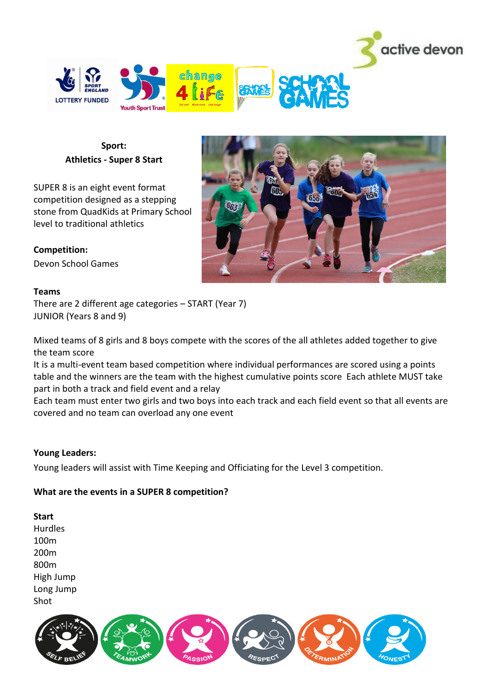



## **Sport: Athletics - Super 8 Start**

SUPER 8 is an eight event format competition designed as a stepping stone from QuadKids at Primary School level to traditional athletics

## **Competition:**

Devon School Games

#### **Teams**

There are 2 different age categories – START (Year 7) JUNIOR (Years 8 and 9)

Mixed teams of 8 girls and 8 boys compete with the scores of the all athletes added together to give the team score

It is a multi-event team based competition where individual performances are scored using a points table and the winners are the team with the highest cumulative points score Each athlete MUST take part in both a track and field event and a relay

Each team must enter two girls and two boys into each track and each field event so that all events are covered and no team can overload any one event

## **Young Leaders:**

Young leaders will assist with Time Keeping and Officiating for the Level 3 competition.

## **What are the events in a SUPER 8 competition?**

**Start**  Hurdles 100m 200m 800m

High Jump Long Jump Shot



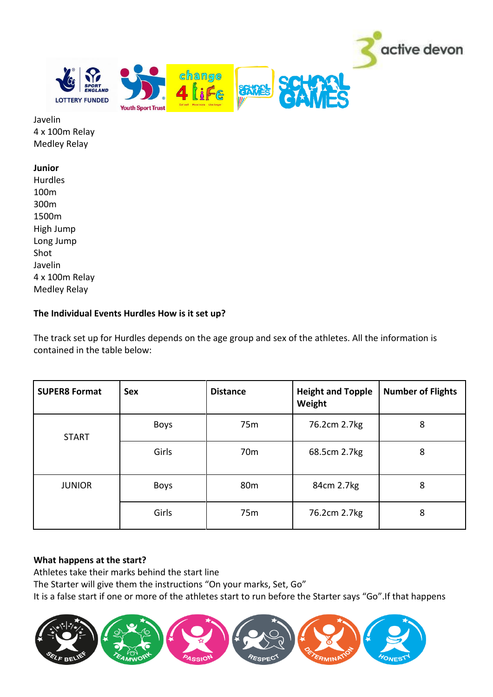

Javelin 4 x 100m Relay Medley Relay

#### **Junior**

Hurdles 100m 300m 1500m High Jump Long Jump Shot Javelin 4 x 100m Relay Medley Relay

## **The Individual Events Hurdles How is it set up?**

The track set up for Hurdles depends on the age group and sex of the athletes. All the information is contained in the table below:

| <b>SUPER8 Format</b> | <b>Sex</b>  | <b>Distance</b> | <b>Height and Topple</b><br>Weight | <b>Number of Flights</b> |
|----------------------|-------------|-----------------|------------------------------------|--------------------------|
| <b>START</b>         | <b>Boys</b> | 75 <sub>m</sub> | 76.2cm 2.7kg                       | 8                        |
|                      | Girls       | 70 <sub>m</sub> | 68.5cm 2.7kg                       | 8                        |
| <b>JUNIOR</b>        | <b>Boys</b> | 80 <sub>m</sub> | 84cm 2.7kg                         | 8                        |
|                      | Girls       | 75 <sub>m</sub> | 76.2cm 2.7kg                       | 8                        |

## **What happens at the start?**

Athletes take their marks behind the start line

The Starter will give them the instructions "On your marks, Set, Go"

It is a false start if one or more of the athletes start to run before the Starter says "Go".If that happens

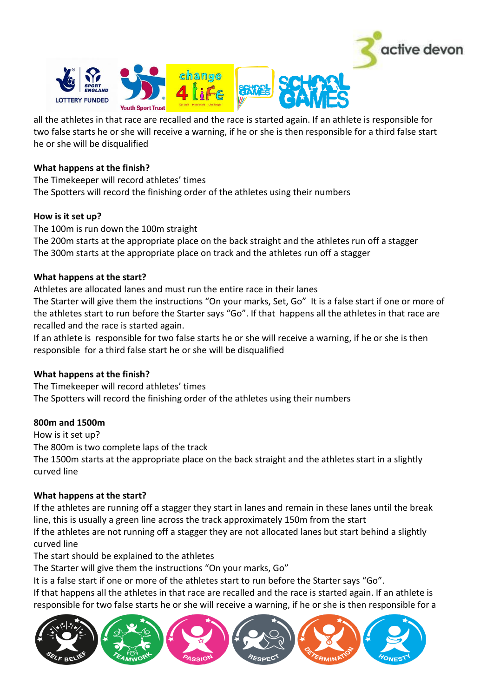

all the athletes in that race are recalled and the race is started again. If an athlete is responsible for two false starts he or she will receive a warning, if he or she is then responsible for a third false start he or she will be disqualified

#### **What happens at the finish?**

The Timekeeper will record athletes' times The Spotters will record the finishing order of the athletes using their numbers

## **How is it set up?**

The 100m is run down the 100m straight The 200m starts at the appropriate place on the back straight and the athletes run off a stagger The 300m starts at the appropriate place on track and the athletes run off a stagger

## **What happens at the start?**

Athletes are allocated lanes and must run the entire race in their lanes

The Starter will give them the instructions "On your marks, Set, Go" It is a false start if one or more of the athletes start to run before the Starter says "Go". If that happens all the athletes in that race are recalled and the race is started again.

If an athlete is responsible for two false starts he or she will receive a warning, if he or she is then responsible for a third false start he or she will be disqualified

## **What happens at the finish?**

The Timekeeper will record athletes' times The Spotters will record the finishing order of the athletes using their numbers

## **800m and 1500m**

How is it set up? The 800m is two complete laps of the track The 1500m starts at the appropriate place on the back straight and the athletes start in a slightly curved line

## **What happens at the start?**

If the athletes are running off a stagger they start in lanes and remain in these lanes until the break line, this is usually a green line across the track approximately 150m from the start If the athletes are not running off a stagger they are not allocated lanes but start behind a slightly

curved line

The start should be explained to the athletes

The Starter will give them the instructions "On your marks, Go"

It is a false start if one or more of the athletes start to run before the Starter says "Go".

If that happens all the athletes in that race are recalled and the race is started again. If an athlete is responsible for two false starts he or she will receive a warning, if he or she is then responsible for a

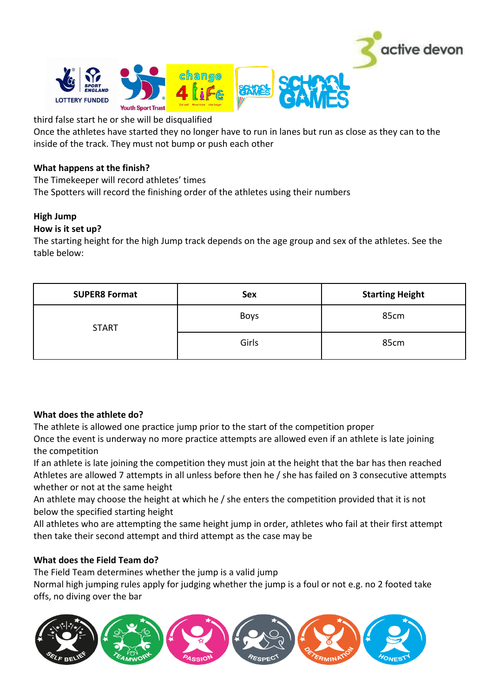

third false start he or she will be disqualified

Once the athletes have started they no longer have to run in lanes but run as close as they can to the inside of the track. They must not bump or push each other

## **What happens at the finish?**

The Timekeeper will record athletes' times The Spotters will record the finishing order of the athletes using their numbers

# **High Jump**

## **How is it set up?**

The starting height for the high Jump track depends on the age group and sex of the athletes. See the table below:

| <b>SUPER8 Format</b> | Sex         | <b>Starting Height</b> |
|----------------------|-------------|------------------------|
| <b>START</b>         | <b>Boys</b> | 85cm                   |
|                      | Girls       | 85cm                   |

## **What does the athlete do?**

The athlete is allowed one practice jump prior to the start of the competition proper

Once the event is underway no more practice attempts are allowed even if an athlete is late joining the competition

If an athlete is late joining the competition they must join at the height that the bar has then reached Athletes are allowed 7 attempts in all unless before then he / she has failed on 3 consecutive attempts whether or not at the same height

An athlete may choose the height at which he / she enters the competition provided that it is not below the specified starting height

All athletes who are attempting the same height jump in order, athletes who fail at their first attempt then take their second attempt and third attempt as the case may be

# **What does the Field Team do?**

The Field Team determines whether the jump is a valid jump

Normal high jumping rules apply for judging whether the jump is a foul or not e.g. no 2 footed take offs, no diving over the bar

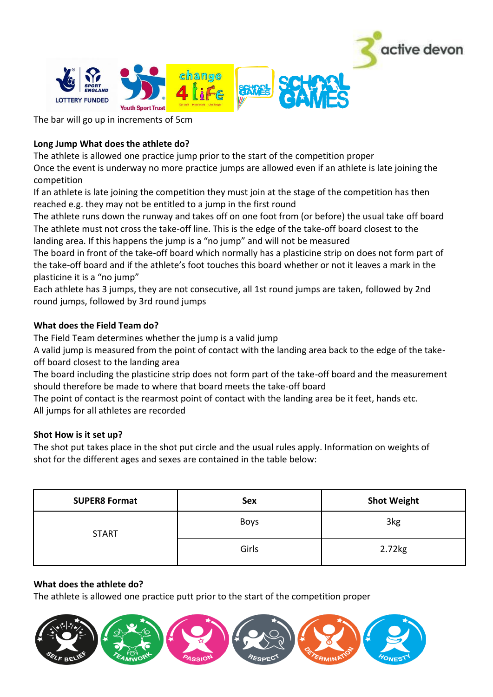

The bar will go up in increments of 5cm

# **Long Jump What does the athlete do?**

The athlete is allowed one practice jump prior to the start of the competition proper

Once the event is underway no more practice jumps are allowed even if an athlete is late joining the competition

If an athlete is late joining the competition they must join at the stage of the competition has then reached e.g. they may not be entitled to a jump in the first round

The athlete runs down the runway and takes off on one foot from (or before) the usual take off board The athlete must not cross the take-off line. This is the edge of the take-off board closest to the landing area. If this happens the jump is a "no jump" and will not be measured

The board in front of the take-off board which normally has a plasticine strip on does not form part of the take-off board and if the athlete's foot touches this board whether or not it leaves a mark in the plasticine it is a "no jump"

Each athlete has 3 jumps, they are not consecutive, all 1st round jumps are taken, followed by 2nd round jumps, followed by 3rd round jumps

## **What does the Field Team do?**

The Field Team determines whether the jump is a valid jump

A valid jump is measured from the point of contact with the landing area back to the edge of the takeoff board closest to the landing area

The board including the plasticine strip does not form part of the take-off board and the measurement should therefore be made to where that board meets the take-off board

The point of contact is the rearmost point of contact with the landing area be it feet, hands etc. All jumps for all athletes are recorded

## **Shot How is it set up?**

The shot put takes place in the shot put circle and the usual rules apply. Information on weights of shot for the different ages and sexes are contained in the table below:

| <b>SUPER8 Format</b> | Sex         | <b>Shot Weight</b> |
|----------------------|-------------|--------------------|
| <b>START</b>         | <b>Boys</b> | 3kg                |
|                      | Girls       | 2.72kg             |

## **What does the athlete do?**

The athlete is allowed one practice putt prior to the start of the competition proper

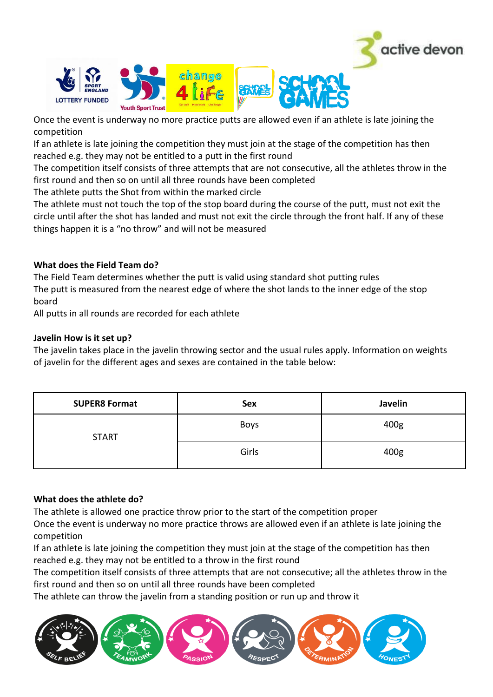

Once the event is underway no more practice putts are allowed even if an athlete is late joining the competition

change

If an athlete is late joining the competition they must join at the stage of the competition has then reached e.g. they may not be entitled to a putt in the first round

The competition itself consists of three attempts that are not consecutive, all the athletes throw in the first round and then so on until all three rounds have been completed

The athlete putts the Shot from within the marked circle

The athlete must not touch the top of the stop board during the course of the putt, must not exit the circle until after the shot has landed and must not exit the circle through the front half. If any of these things happen it is a "no throw" and will not be measured

## **What does the Field Team do?**

The Field Team determines whether the putt is valid using standard shot putting rules The putt is measured from the nearest edge of where the shot lands to the inner edge of the stop board

All putts in all rounds are recorded for each athlete

## **Javelin How is it set up?**

The javelin takes place in the javelin throwing sector and the usual rules apply. Information on weights of javelin for the different ages and sexes are contained in the table below:

| <b>SUPER8 Format</b> | <b>Sex</b>  | Javelin |
|----------------------|-------------|---------|
| <b>START</b>         | <b>Boys</b> | 400g    |
|                      | Girls       | 400g    |

## **What does the athlete do?**

The athlete is allowed one practice throw prior to the start of the competition proper

Once the event is underway no more practice throws are allowed even if an athlete is late joining the competition

If an athlete is late joining the competition they must join at the stage of the competition has then reached e.g. they may not be entitled to a throw in the first round

The competition itself consists of three attempts that are not consecutive; all the athletes throw in the first round and then so on until all three rounds have been completed

The athlete can throw the javelin from a standing position or run up and throw it

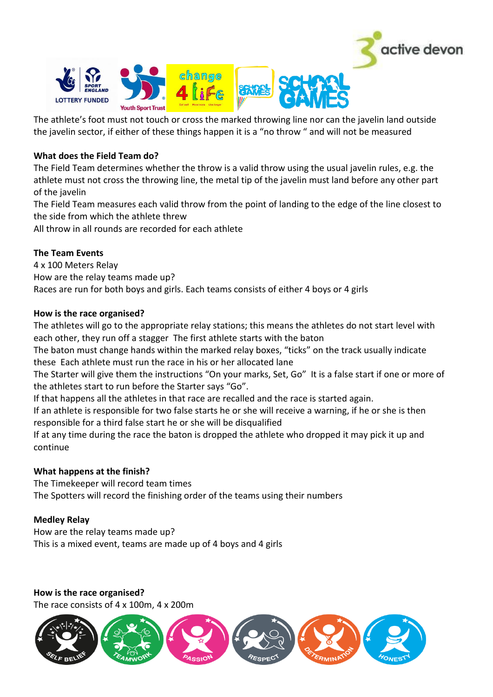

The athlete's foot must not touch or cross the marked throwing line nor can the javelin land outside the javelin sector, if either of these things happen it is a "no throw " and will not be measured

## **What does the Field Team do?**

The Field Team determines whether the throw is a valid throw using the usual javelin rules, e.g. the athlete must not cross the throwing line, the metal tip of the javelin must land before any other part of the javelin

The Field Team measures each valid throw from the point of landing to the edge of the line closest to the side from which the athlete threw

All throw in all rounds are recorded for each athlete

# **The Team Events**

4 x 100 Meters Relay How are the relay teams made up? Races are run for both boys and girls. Each teams consists of either 4 boys or 4 girls

## **How is the race organised?**

The athletes will go to the appropriate relay stations; this means the athletes do not start level with each other, they run off a stagger The first athlete starts with the baton

The baton must change hands within the marked relay boxes, "ticks" on the track usually indicate these Each athlete must run the race in his or her allocated lane

The Starter will give them the instructions "On your marks, Set, Go" It is a false start if one or more of the athletes start to run before the Starter says "Go".

If that happens all the athletes in that race are recalled and the race is started again.

If an athlete is responsible for two false starts he or she will receive a warning, if he or she is then responsible for a third false start he or she will be disqualified

If at any time during the race the baton is dropped the athlete who dropped it may pick it up and continue

## **What happens at the finish?**

The Timekeeper will record team times The Spotters will record the finishing order of the teams using their numbers

## **Medley Relay**

How are the relay teams made up? This is a mixed event, teams are made up of 4 boys and 4 girls

**How is the race organised?**  The race consists of 4 x 100m, 4 x 200m